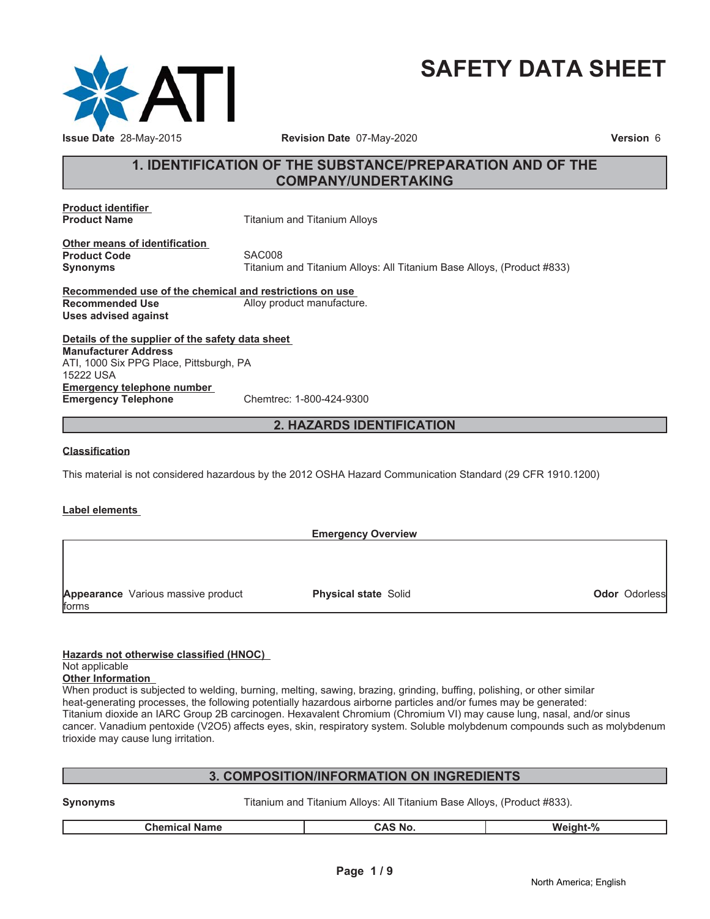

# **SAFETY DATA SHEET**

# **1. IDENTIFICATION OF THE SUBSTANCE/PREPARATION AND OF THE COMPANY/UNDERTAKING**

**Product identifier**

**Product Name** Titanium and Titanium Alloys

**Other means of identification Product Code**<br>
Synonyms<br>
Synonyms<br>
Titanium

**Synonyms** Titanium and Titanium Alloys: All Titanium Base Alloys, (Product #833)

**Recommended use of the chemical and restrictions on use Recommended Use** Alloy product manufacture. **Uses advised against**

**Details of the supplier of the safety data sheet Emergency telephone number Emergency Telephone** Chemtrec: 1-800-424-9300 **Manufacturer Address** ATI, 1000 Six PPG Place, Pittsburgh, PA 15222 USA

# **2. HAZARDS IDENTIFICATION**

## **Classification**

This material is not considered hazardous by the 2012 OSHA Hazard Communication Standard (29 CFR 1910.1200)

#### **Label elements**

|                                    | <b>Emergency Overview</b>   |                      |  |
|------------------------------------|-----------------------------|----------------------|--|
|                                    |                             |                      |  |
|                                    |                             |                      |  |
|                                    |                             |                      |  |
| Appearance Various massive product | <b>Physical state Solid</b> | <b>Odor Odorless</b> |  |
| forms                              |                             |                      |  |

## **Hazards not otherwise classified (HNOC)**

#### Not applicable

**Other Information**

When product is subjected to welding, burning, melting, sawing, brazing, grinding, buffing, polishing, or other similar heat-generating processes, the following potentially hazardous airborne particles and/or fumes may be generated: Titanium dioxide an IARC Group 2B carcinogen. Hexavalent Chromium (Chromium VI) may cause lung, nasal, and/or sinus cancer. Vanadium pentoxide (V2O5) affects eyes, skin, respiratory system. Soluble molybdenum compounds such as molybdenum trioxide may cause lung irritation.

# **3. COMPOSITION/INFORMATION ON INGREDIENTS**

**Synonyms** Titanium and Titanium Alloys: All Titanium Base Alloys, (Product #833).

|  | ACI<br>' No<br>Chemica<br>Name | $\Omega$<br>Weight-<br>70 |
|--|--------------------------------|---------------------------|
|--|--------------------------------|---------------------------|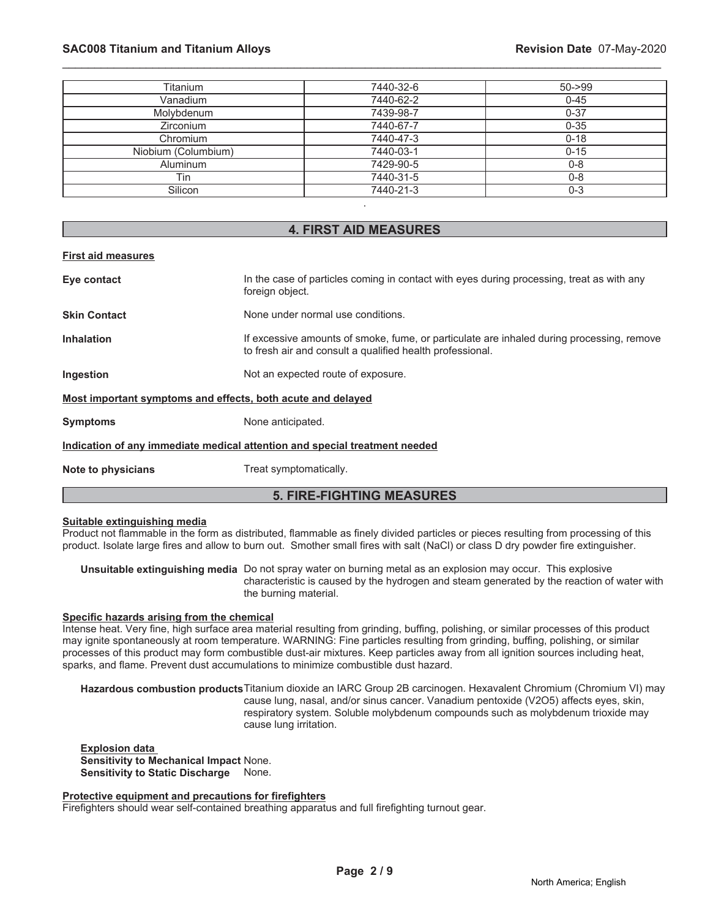# **SAC008 Titanium and Titanium Alloys Revision Date** 07-May-2020

| Titanium            | 7440-32-6 | $50 - 99$ |
|---------------------|-----------|-----------|
| Vanadium            | 7440-62-2 | $0 - 45$  |
| Molybdenum          | 7439-98-7 | $0 - 37$  |
| <b>Zirconium</b>    | 7440-67-7 | $0 - 35$  |
| Chromium            | 7440-47-3 | $0 - 18$  |
| Niobium (Columbium) | 7440-03-1 | $0 - 15$  |
| Aluminum            | 7429-90-5 | $0 - 8$   |
| Tin                 | 7440-31-5 | $0 - 8$   |
| Silicon             | 7440-21-3 | $0 - 3$   |
|                     |           |           |

\_\_\_\_\_\_\_\_\_\_\_\_\_\_\_\_\_\_\_\_\_\_\_\_\_\_\_\_\_\_\_\_\_\_\_\_\_\_\_\_\_\_\_\_\_\_\_\_\_\_\_\_\_\_\_\_\_\_\_\_\_\_\_\_\_\_\_\_\_\_\_\_\_\_\_\_\_\_\_\_\_\_\_\_\_\_\_\_\_\_\_\_\_

## **4. FIRST AID MEASURES**

# **First aid measures**

| Eye contact                                                                | In the case of particles coming in contact with eyes during processing, treat as with any<br>foreign object.                                           |  |
|----------------------------------------------------------------------------|--------------------------------------------------------------------------------------------------------------------------------------------------------|--|
| <b>Skin Contact</b>                                                        | None under normal use conditions.                                                                                                                      |  |
| <b>Inhalation</b>                                                          | If excessive amounts of smoke, fume, or particulate are inhaled during processing, remove<br>to fresh air and consult a qualified health professional. |  |
| Ingestion                                                                  | Not an expected route of exposure.                                                                                                                     |  |
| Most important symptoms and effects, both acute and delayed                |                                                                                                                                                        |  |
| <b>Symptoms</b>                                                            | None anticipated.                                                                                                                                      |  |
| Indication of any immediate medical attention and special treatment needed |                                                                                                                                                        |  |
| Note to physicians                                                         | Treat symptomatically.                                                                                                                                 |  |
| <b>5. FIRE-FIGHTING MEASURES</b>                                           |                                                                                                                                                        |  |

#### **Suitable extinguishing media**

Product not flammable in the form as distributed, flammable as finely divided particles or pieces resulting from processing of this product. Isolate large fires and allow to burn out. Smother small fires with salt (NaCl) or class D dry powder fire extinguisher.

**Unsuitable extinguishing media** Do not spray water on burning metal as an explosion may occur. This explosive characteristic is caused by the hydrogen and steam generated by the reaction of water with the burning material.

#### **Specific hazards arising from the chemical**

Intense heat. Very fine, high surface area material resulting from grinding, buffing, polishing, or similar processes of this product may ignite spontaneously at room temperature. WARNING: Fine particles resulting from grinding, buffing, polishing, or similar processes of this product may form combustible dust-air mixtures. Keep particles away from all ignition sources including heat, sparks, and flame. Prevent dust accumulations to minimize combustible dust hazard.

**Hazardous combustion products**Titanium dioxide an IARC Group 2B carcinogen. Hexavalent Chromium (Chromium VI) may cause lung, nasal, and/or sinus cancer. Vanadium pentoxide (V2O5) affects eyes, skin, respiratory system. Soluble molybdenum compounds such as molybdenum trioxide may cause lung irritation.

**Explosion data Sensitivity to Mechanical Impact** None. **Sensitivity to Static Discharge** None.

#### **Protective equipment and precautions for firefighters**

Firefighters should wear self-contained breathing apparatus and full firefighting turnout gear.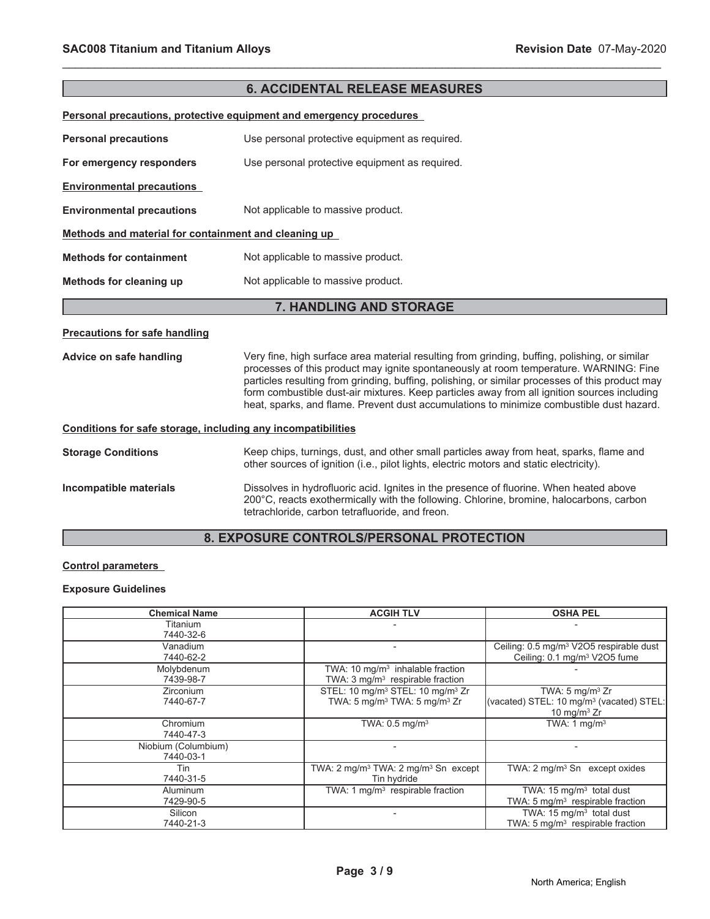| <b>6. ACCIDENTAL RELEASE MEASURES</b>                               |                                                                                                                                                                                                                                                                                                                                                                                                                                                                                      |  |  |
|---------------------------------------------------------------------|--------------------------------------------------------------------------------------------------------------------------------------------------------------------------------------------------------------------------------------------------------------------------------------------------------------------------------------------------------------------------------------------------------------------------------------------------------------------------------------|--|--|
| Personal precautions, protective equipment and emergency procedures |                                                                                                                                                                                                                                                                                                                                                                                                                                                                                      |  |  |
| <b>Personal precautions</b>                                         | Use personal protective equipment as required.                                                                                                                                                                                                                                                                                                                                                                                                                                       |  |  |
| For emergency responders                                            | Use personal protective equipment as required.                                                                                                                                                                                                                                                                                                                                                                                                                                       |  |  |
| <b>Environmental precautions</b>                                    |                                                                                                                                                                                                                                                                                                                                                                                                                                                                                      |  |  |
| <b>Environmental precautions</b>                                    | Not applicable to massive product.                                                                                                                                                                                                                                                                                                                                                                                                                                                   |  |  |
| Methods and material for containment and cleaning up                |                                                                                                                                                                                                                                                                                                                                                                                                                                                                                      |  |  |
| <b>Methods for containment</b>                                      | Not applicable to massive product.                                                                                                                                                                                                                                                                                                                                                                                                                                                   |  |  |
| Methods for cleaning up                                             | Not applicable to massive product.                                                                                                                                                                                                                                                                                                                                                                                                                                                   |  |  |
| 7. HANDLING AND STORAGE                                             |                                                                                                                                                                                                                                                                                                                                                                                                                                                                                      |  |  |
| <b>Precautions for safe handling</b>                                |                                                                                                                                                                                                                                                                                                                                                                                                                                                                                      |  |  |
| Advice on safe handling                                             | Very fine, high surface area material resulting from grinding, buffing, polishing, or similar<br>processes of this product may ignite spontaneously at room temperature. WARNING: Fine<br>particles resulting from grinding, buffing, polishing, or similar processes of this product may<br>form combustible dust-air mixtures. Keep particles away from all ignition sources including<br>heat, sparks, and flame. Prevent dust accumulations to minimize combustible dust hazard. |  |  |
| Conditions for safe storage, including any incompatibilities        |                                                                                                                                                                                                                                                                                                                                                                                                                                                                                      |  |  |
| <b>Storage Conditions</b>                                           | Keep chips, turnings, dust, and other small particles away from heat, sparks, flame and<br>other sources of ignition (i.e., pilot lights, electric motors and static electricity).                                                                                                                                                                                                                                                                                                   |  |  |
| Incompatible materials                                              | Dissolves in hydrofluoric acid. Ignites in the presence of fluorine. When heated above<br>200°C, reacts exothermically with the following. Chlorine, bromine, halocarbons, carbon<br>tetrachloride, carbon tetrafluoride, and freon.                                                                                                                                                                                                                                                 |  |  |

# **8. EXPOSURE CONTROLS/PERSONAL PROTECTION**

# **Control parameters**

# **Exposure Guidelines**

| <b>Chemical Name</b>             | <b>ACGIH TLV</b>                                                                                                 | <b>OSHA PEL</b>                                                                                      |
|----------------------------------|------------------------------------------------------------------------------------------------------------------|------------------------------------------------------------------------------------------------------|
| Titanium<br>7440-32-6            |                                                                                                                  |                                                                                                      |
| Vanadium<br>7440-62-2            |                                                                                                                  | Ceiling: 0.5 mg/m <sup>3</sup> V2O5 respirable dust<br>Ceiling: 0.1 mg/m <sup>3</sup> V2O5 fume      |
| Molybdenum<br>7439-98-7          | TWA: $10 \text{ mg/m}^3$ inhalable fraction<br>TWA: 3 mg/m <sup>3</sup> respirable fraction                      |                                                                                                      |
| Zirconium<br>7440-67-7           | STEL: 10 mg/m <sup>3</sup> STEL: 10 mg/m <sup>3</sup> Zr<br>TWA: 5 mg/m <sup>3</sup> TWA: 5 mg/m <sup>3</sup> Zr | TWA: $5 \text{ mg/m}^3$ Zr<br>(vacated) STEL: 10 mg/m <sup>3</sup> (vacated) STEL:<br>10 mg/m $3$ Zr |
| Chromium<br>7440-47-3            | TWA: $0.5 \text{ mg/m}^3$                                                                                        | TWA: 1 $mq/m3$                                                                                       |
| Niobium (Columbium)<br>7440-03-1 |                                                                                                                  |                                                                                                      |
| Tin<br>7440-31-5                 | TWA: 2 mg/m <sup>3</sup> TWA: 2 mg/m <sup>3</sup> Sn except<br>Tin hydride                                       | TWA: 2 mg/m <sup>3</sup> Sn except oxides                                                            |
| Aluminum<br>7429-90-5            | TWA: 1 mg/m <sup>3</sup> respirable fraction                                                                     | TWA: $15 \text{ mg/m}^3$ total dust<br>TWA: 5 mg/m <sup>3</sup> respirable fraction                  |
| Silicon<br>7440-21-3             |                                                                                                                  | TWA: $15 \text{ mg/m}^3$ total dust<br>TWA: $5 \text{ mg/m}^3$ respirable fraction                   |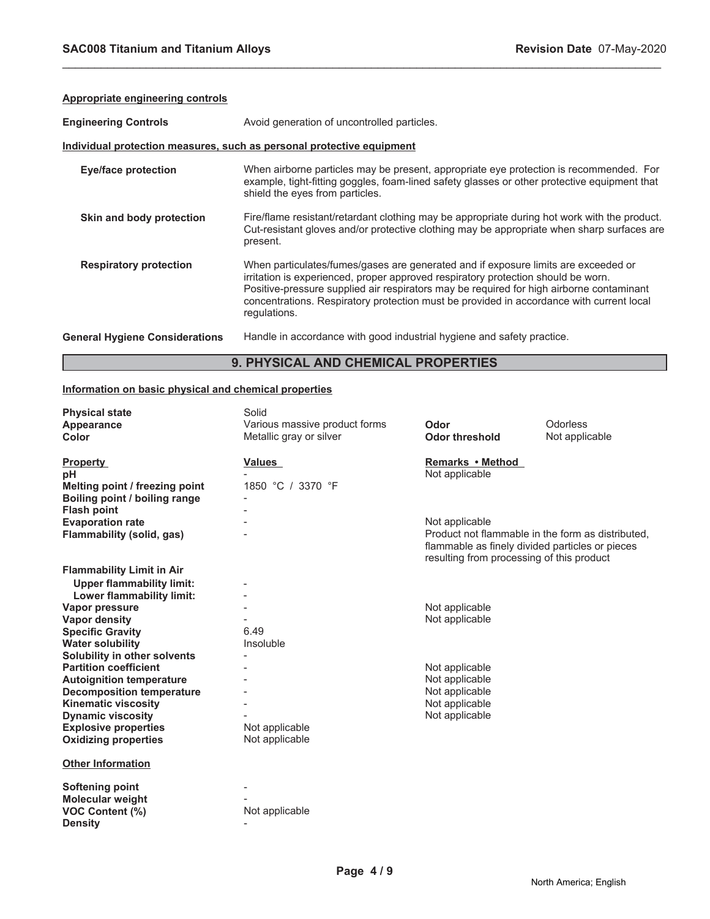| Appropriate engineering controls      |                                                                                                                                                                                                                                                                                                                                                                                 |
|---------------------------------------|---------------------------------------------------------------------------------------------------------------------------------------------------------------------------------------------------------------------------------------------------------------------------------------------------------------------------------------------------------------------------------|
| <b>Engineering Controls</b>           | Avoid generation of uncontrolled particles.                                                                                                                                                                                                                                                                                                                                     |
|                                       | Individual protection measures, such as personal protective equipment                                                                                                                                                                                                                                                                                                           |
| <b>Eye/face protection</b>            | When airborne particles may be present, appropriate eye protection is recommended. For<br>example, tight-fitting goggles, foam-lined safety glasses or other protective equipment that<br>shield the eyes from particles.                                                                                                                                                       |
| Skin and body protection              | Fire/flame resistant/retardant clothing may be appropriate during hot work with the product.<br>Cut-resistant gloves and/or protective clothing may be appropriate when sharp surfaces are<br>present.                                                                                                                                                                          |
| <b>Respiratory protection</b>         | When particulates/fumes/gases are generated and if exposure limits are exceeded or<br>irritation is experienced, proper approved respiratory protection should be worn.<br>Positive-pressure supplied air respirators may be required for high airborne contaminant<br>concentrations. Respiratory protection must be provided in accordance with current local<br>regulations. |
| <b>General Hygiene Considerations</b> | Handle in accordance with good industrial hygiene and safety practice.                                                                                                                                                                                                                                                                                                          |

# **9. PHYSICAL AND CHEMICAL PROPERTIES**

## **Information on basic physical and chemical properties**

| <b>Physical state</b><br>Appearance<br>Color                                                                               | Solid<br>Various massive product forms<br>Metallic gray or silver | Odor<br><b>Odor threshold</b>                                                                                                                                       | Odorless<br>Not applicable |
|----------------------------------------------------------------------------------------------------------------------------|-------------------------------------------------------------------|---------------------------------------------------------------------------------------------------------------------------------------------------------------------|----------------------------|
| <b>Property</b><br>pН<br>Melting point / freezing point<br>Boiling point / boiling range                                   | Values<br>1850 °C / 3370 °F                                       | Remarks • Method<br>Not applicable                                                                                                                                  |                            |
| <b>Flash point</b><br><b>Evaporation rate</b><br>Flammability (solid, gas)                                                 |                                                                   | Not applicable<br>Product not flammable in the form as distributed,<br>flammable as finely divided particles or pieces<br>resulting from processing of this product |                            |
| <b>Flammability Limit in Air</b><br><b>Upper flammability limit:</b><br>Lower flammability limit:                          |                                                                   |                                                                                                                                                                     |                            |
| Vapor pressure<br><b>Vapor density</b><br><b>Specific Gravity</b>                                                          | 6.49                                                              | Not applicable<br>Not applicable                                                                                                                                    |                            |
| <b>Water solubility</b><br>Solubility in other solvents<br><b>Partition coefficient</b><br><b>Autoignition temperature</b> | Insoluble                                                         | Not applicable<br>Not applicable                                                                                                                                    |                            |
| <b>Decomposition temperature</b><br><b>Kinematic viscosity</b><br><b>Dynamic viscosity</b>                                 |                                                                   | Not applicable<br>Not applicable<br>Not applicable                                                                                                                  |                            |
| <b>Explosive properties</b><br><b>Oxidizing properties</b>                                                                 | Not applicable<br>Not applicable                                  |                                                                                                                                                                     |                            |
| <b>Other Information</b>                                                                                                   |                                                                   |                                                                                                                                                                     |                            |
| <b>Softening point</b><br><b>Molecular weight</b><br><b>VOC Content (%)</b><br><b>Density</b>                              | Not applicable                                                    |                                                                                                                                                                     |                            |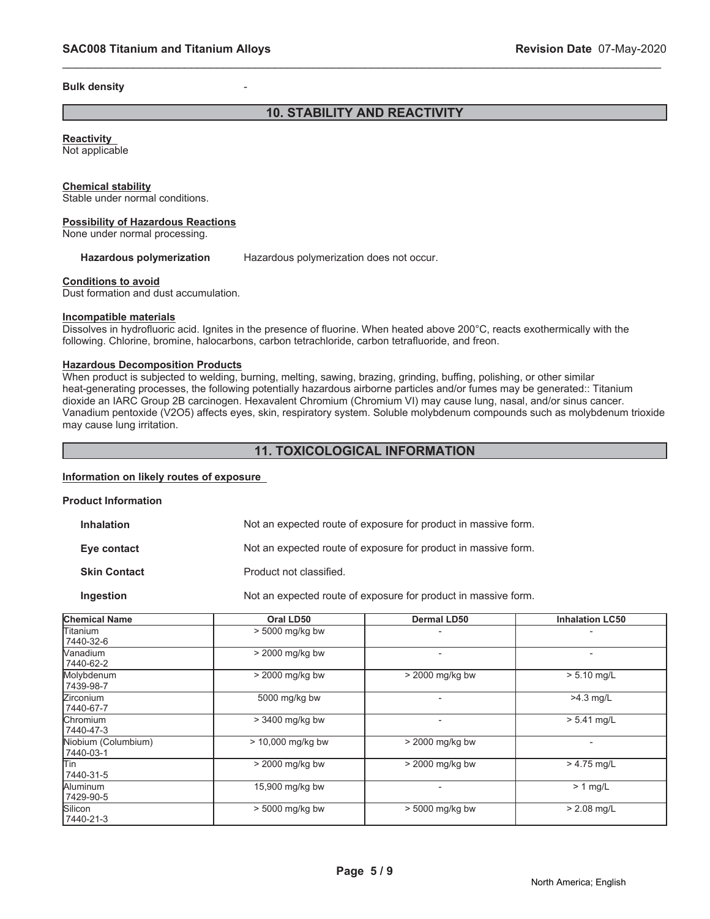#### **Bulk density**

# **10. STABILITY AND REACTIVITY**

\_\_\_\_\_\_\_\_\_\_\_\_\_\_\_\_\_\_\_\_\_\_\_\_\_\_\_\_\_\_\_\_\_\_\_\_\_\_\_\_\_\_\_\_\_\_\_\_\_\_\_\_\_\_\_\_\_\_\_\_\_\_\_\_\_\_\_\_\_\_\_\_\_\_\_\_\_\_\_\_\_\_\_\_\_\_\_\_\_\_\_\_\_

# **Reactivity**

Not applicable

#### **Chemical stability**

Stable under normal conditions.

#### **Possibility of Hazardous Reactions**

None under normal processing.

#### Hazardous polymerization Hazardous polymerization does not occur.

#### **Conditions to avoid**

Dust formation and dust accumulation.

#### **Incompatible materials**

Dissolves in hydrofluoric acid. Ignites in the presence of fluorine. When heated above 200°C, reacts exothermically with the following. Chlorine, bromine, halocarbons, carbon tetrachloride, carbon tetrafluoride, and freon.

#### **Hazardous Decomposition Products**

When product is subjected to welding, burning, melting, sawing, brazing, grinding, buffing, polishing, or other similar heat-generating processes, the following potentially hazardous airborne particles and/or fumes may be generated:: Titanium dioxide an IARC Group 2B carcinogen. Hexavalent Chromium (Chromium VI) may cause lung, nasal, and/or sinus cancer. Vanadium pentoxide (V2O5) affects eyes, skin, respiratory system. Soluble molybdenum compounds such as molybdenum trioxide may cause lung irritation.

# **11. TOXICOLOGICAL INFORMATION**

# **Information on likely routes of exposure**

#### **Product Information**

| Inhalation  | Not an expected route of exposure for product in massive form. |  |
|-------------|----------------------------------------------------------------|--|
| Eye contact | Not an expected route of exposure for product in massive form. |  |

**Skin Contact** Product not classified.

#### **Ingestion** Not an expected route of exposure for product in massive form.

| <b>Chemical Name</b>             | Oral LD50           | Dermal LD50              | <b>Inhalation LC50</b>   |  |
|----------------------------------|---------------------|--------------------------|--------------------------|--|
| Titanium<br>7440-32-6            | > 5000 mg/kg bw     |                          |                          |  |
| Nanadium<br>7440-62-2            | > 2000 mg/kg bw     | $\overline{\phantom{a}}$ | $\overline{\phantom{0}}$ |  |
| Molybdenum<br>7439-98-7          | > 2000 mg/kg bw     | > 2000 mg/kg bw          | $> 5.10$ mg/L            |  |
| <b>Zirconium</b><br>7440-67-7    | 5000 mg/kg bw       | $\overline{\phantom{0}}$ | $>4.3$ mg/L              |  |
| <b>Chromium</b><br>7440-47-3     | > 3400 mg/kg bw     |                          | $> 5.41$ mg/L            |  |
| Niobium (Columbium)<br>7440-03-1 | $> 10,000$ mg/kg bw | > 2000 mg/kg bw          | $\overline{\phantom{0}}$ |  |
| <b>Tin</b><br>7440-31-5          | > 2000 mg/kg bw     | > 2000 mg/kg bw          | $> 4.75$ mg/L            |  |
| Aluminum<br>7429-90-5            | 15,900 mg/kg bw     |                          | $> 1$ mg/L               |  |
| Silicon<br>7440-21-3             | > 5000 mg/kg bw     | $> 5000$ mg/kg bw        | $> 2.08$ mg/L            |  |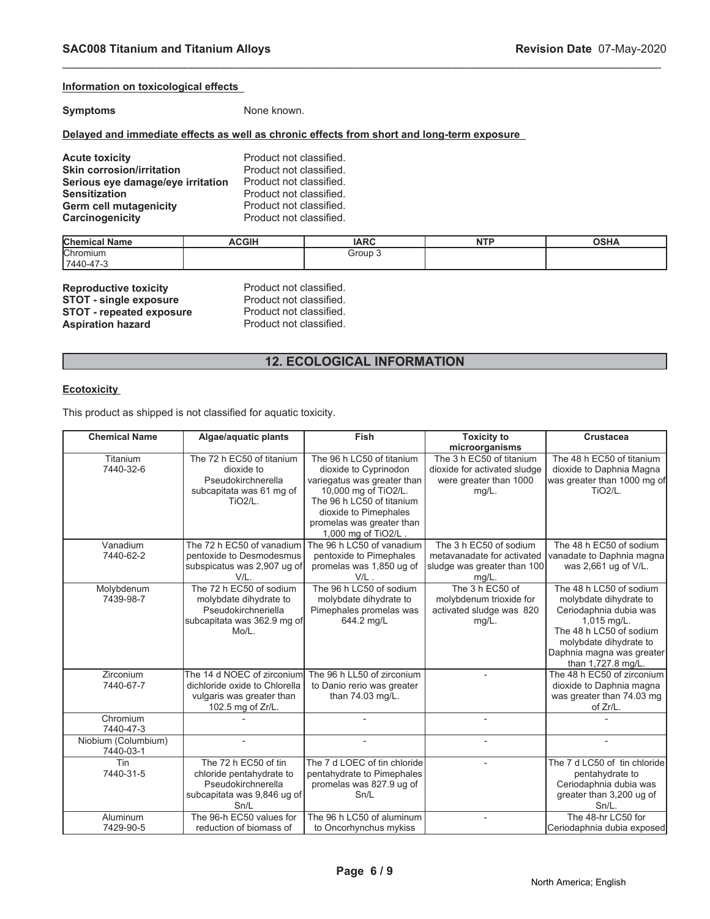## **Information on toxicological effects**

**Symptoms** None known.

## **Delayed and immediate effects as well as chronic effects from short and long-term exposure**

| <b>Acute toxicity</b>             | Product not classified. |
|-----------------------------------|-------------------------|
| <b>Skin corrosion/irritation</b>  | Product not classified. |
| Serious eye damage/eye irritation | Product not classified. |
| <b>Sensitization</b>              | Product not classified. |
| <b>Germ cell mutagenicity</b>     | Product not classified. |
| Carcinogenicity                   | Product not classified. |

| <b>Chen</b><br><b>Name</b> | <b>CGIH</b> | IAPC  | ---- | $\sim$<br>'' |
|----------------------------|-------------|-------|------|--------------|
| Chromium                   |             | Group |      |              |
| $'7440-$<br>٠ <b>.</b>     |             |       |      |              |

\_\_\_\_\_\_\_\_\_\_\_\_\_\_\_\_\_\_\_\_\_\_\_\_\_\_\_\_\_\_\_\_\_\_\_\_\_\_\_\_\_\_\_\_\_\_\_\_\_\_\_\_\_\_\_\_\_\_\_\_\_\_\_\_\_\_\_\_\_\_\_\_\_\_\_\_\_\_\_\_\_\_\_\_\_\_\_\_\_\_\_\_\_

| <b>Reproductive toxicity</b>    |
|---------------------------------|
| <b>STOT - single exposure</b>   |
| <b>STOT - repeated exposure</b> |
| <b>Aspiration hazard</b>        |

**Product not classified.** Product not classified. Product not classified. Product not classified.

# **12. ECOLOGICAL INFORMATION**

## **Ecotoxicity**

This product as shipped is not classified for aquatic toxicity.

| <b>Chemical Name</b> | Algae/aquatic plants                           | <b>Fish</b>                  | <b>Toxicity to</b>           | <b>Crustacea</b>                                      |
|----------------------|------------------------------------------------|------------------------------|------------------------------|-------------------------------------------------------|
|                      |                                                |                              | microorganisms               |                                                       |
| Titanium             | The 72 h EC50 of titanium                      | The 96 h LC50 of titanium    | The 3 h EC50 of titanium     | The 48 h EC50 of titanium                             |
| 7440-32-6            | dioxide to                                     | dioxide to Cyprinodon        | dioxide for activated sludge | dioxide to Daphnia Magna                              |
|                      | Pseudokirchnerella                             | variegatus was greater than  | were greater than 1000       | was greater than 1000 mg of                           |
|                      | subcapitata was 61 mg of                       | 10,000 mg of TiO2/L.         | $mg/L$ .                     | <b>TiO2/L.</b>                                        |
|                      | <b>TiO2/L.</b>                                 | The 96 h LC50 of titanium    |                              |                                                       |
|                      |                                                | dioxide to Pimephales        |                              |                                                       |
|                      |                                                | promelas was greater than    |                              |                                                       |
|                      |                                                | 1,000 mg of TiO2/L.          |                              |                                                       |
| Vanadium             | The 72 h EC50 of vanadium                      | The 96 h LC50 of vanadium    | The 3 h EC50 of sodium       | The 48 h EC50 of sodium                               |
| 7440-62-2            | pentoxide to Desmodesmus                       | pentoxide to Pimephales      | metavanadate for activated   | vanadate to Daphnia magna                             |
|                      | subspicatus was 2,907 ug of                    | promelas was 1,850 ug of     | sludge was greater than 100  | was 2,661 ug of V/L.                                  |
|                      | V/L.                                           | $V/L$ .                      | $mg/L$ .                     |                                                       |
| Molybdenum           | The 72 h EC50 of sodium                        | The 96 h LC50 of sodium      | The 3 h EC50 of              | The 48 h LC50 of sodium                               |
| 7439-98-7            | molybdate dihydrate to                         | molybdate dihydrate to       | molybdenum trioxide for      | molybdate dihydrate to                                |
|                      | Pseudokirchneriella                            | Pimephales promelas was      | activated sludge was 820     | Ceriodaphnia dubia was                                |
|                      | subcapitata was 362.9 mg of                    | 644.2 mg/L                   | $mg/L$ .                     | $1,015$ mg/L.                                         |
|                      | Mo/L.                                          |                              |                              | The 48 h LC50 of sodium                               |
|                      |                                                |                              |                              | molybdate dihydrate to                                |
|                      |                                                |                              |                              | Daphnia magna was greater<br>than 1,727.8 mg/L.       |
| Zirconium            | The 14 d NOEC of zirconium                     | The 96 h LL50 of zirconium   |                              | The 48 h EC50 of zirconium                            |
| 7440-67-7            | dichloride oxide to Chlorella                  | to Danio rerio was greater   |                              |                                                       |
|                      |                                                | than 74.03 mg/L.             |                              | dioxide to Daphnia magna<br>was greater than 74.03 mg |
|                      | vulgaris was greater than<br>102.5 mg of Zr/L. |                              |                              | of Zr/L.                                              |
| Chromium             |                                                |                              |                              |                                                       |
| 7440-47-3            |                                                |                              |                              |                                                       |
| Niobium (Columbium)  |                                                |                              |                              |                                                       |
| 7440-03-1            |                                                |                              |                              |                                                       |
| Tin                  | The 72 h EC50 of tin                           | The 7 d LOEC of tin chloride |                              | The 7 d LC50 of tin chloride                          |
| 7440-31-5            | chloride pentahydrate to                       | pentahydrate to Pimephales   |                              | pentahydrate to                                       |
|                      | Pseudokirchnerella                             | promelas was 827.9 ug of     |                              | Ceriodaphnia dubia was                                |
|                      | subcapitata was 9,846 ug of                    | Sn/L                         |                              | greater than 3,200 ug of                              |
|                      | Sn/L                                           |                              |                              | $Sn/L$ .                                              |
| Aluminum             | The 96-h EC50 values for                       | The 96 h LC50 of aluminum    |                              | The 48-hr LC50 for                                    |
| 7429-90-5            | reduction of biomass of                        | to Oncorhynchus mykiss       |                              | Ceriodaphnia dubia exposed                            |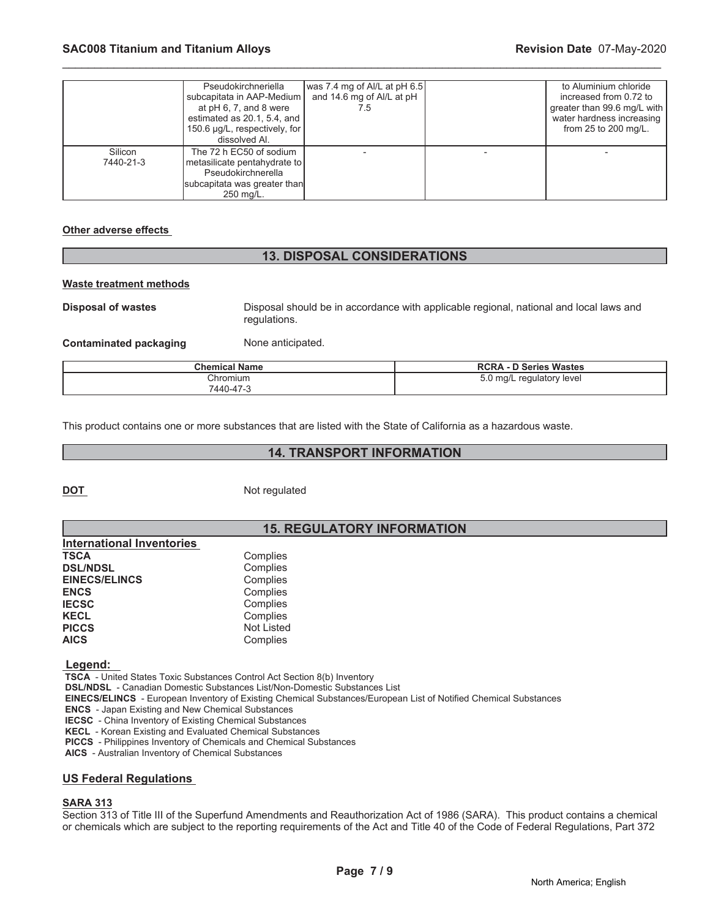|                      | Pseudokirchneriella<br>subcapitata in AAP-Medium<br>at $pH$ 6, 7, and 8 were<br>estimated as 20.1, 5.4, and<br>150.6 µg/L, respectively, for<br>dissolved Al. | was 7.4 mg of Al/L at pH 6.5<br>and 14.6 mg of Al/L at pH<br>7.5 | to Aluminium chloride<br>increased from 0.72 to<br>greater than 99.6 mg/L with<br>water hardness increasing<br>from $25$ to $200$ mg/L. |
|----------------------|---------------------------------------------------------------------------------------------------------------------------------------------------------------|------------------------------------------------------------------|-----------------------------------------------------------------------------------------------------------------------------------------|
| Silicon<br>7440-21-3 | The 72 h EC50 of sodium<br>metasilicate pentahydrate to  <br>Pseudokirchnerella<br>subcapitata was greater than<br>250 mg/L.                                  |                                                                  |                                                                                                                                         |

#### **Other adverse effects**

# **13. DISPOSAL CONSIDERATIONS**

#### **Waste treatment methods**

**Disposal of wastes** Disposal should be in accordance with applicable regional, national and local laws and regulations.

**Contaminated packaging Mone anticipated.** 

| <b>Chemical Name</b> | <b>RCRA - D Series Wastes</b> |
|----------------------|-------------------------------|
| Chromium             | 5.0 mg/L regulatory level     |
| 440-47-3             |                               |

This product contains one or more substances that are listed with the State of California as a hazardous waste.

# **14. TRANSPORT INFORMATION**

**DOT** Not regulated

# **15. REGULATORY INFORMATION**

| <b>International Inventories</b> |                   |
|----------------------------------|-------------------|
| <b>TSCA</b>                      | Complies          |
| <b>DSL/NDSL</b>                  | Complies          |
| <b>EINECS/ELINCS</b>             | Complies          |
| <b>ENCS</b>                      | Complies          |
| <b>IECSC</b>                     | Complies          |
| <b>KECL</b>                      | Complies          |
| <b>PICCS</b>                     | <b>Not Listed</b> |
| <b>AICS</b>                      | Complies          |

 **Legend:** 

 **TSCA** - United States Toxic Substances Control Act Section 8(b) Inventory

 **DSL/NDSL** - Canadian Domestic Substances List/Non-Domestic Substances List

 **EINECS/ELINCS** - European Inventory of Existing Chemical Substances/European List of Notified Chemical Substances

 **ENCS** - Japan Existing and New Chemical Substances

 **IECSC** - China Inventory of Existing Chemical Substances

 **KECL** - Korean Existing and Evaluated Chemical Substances

 **PICCS** - Philippines Inventory of Chemicals and Chemical Substances

 **AICS** - Australian Inventory of Chemical Substances

### **US Federal Regulations**

#### **SARA 313**

Section 313 of Title III of the Superfund Amendments and Reauthorization Act of 1986 (SARA). This product contains a chemical or chemicals which are subject to the reporting requirements of the Act and Title 40 of the Code of Federal Regulations, Part 372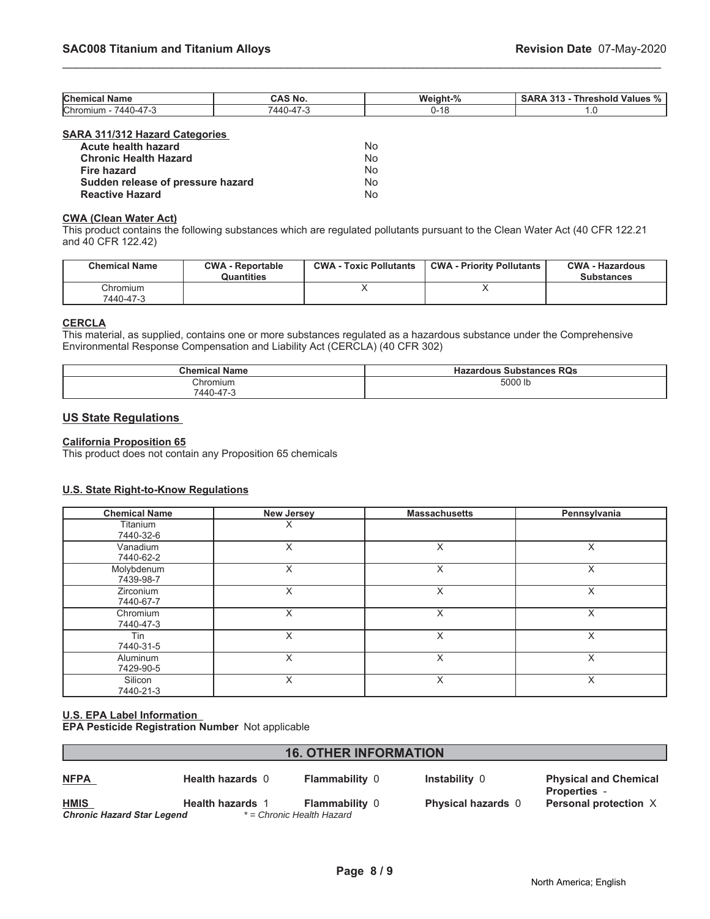| <b>Chen</b><br>Name                         | <b>AS No.</b>                                     | Weight<br>70 | 0.49<br>- -<br>nreshold.<br>Values<br>-<br>70 |
|---------------------------------------------|---------------------------------------------------|--------------|-----------------------------------------------|
| <b>Chrom</b><br>$\sim$<br>440<br>nu<br>-47- | $\overline{\phantom{a}}$<br>$\Delta$<br>$. I = 4$ | 0-18         | $\cdot$                                       |

# **SARA 311/312 Hazard Categories**

| Acute health hazard               | No |
|-----------------------------------|----|
| <b>Chronic Health Hazard</b>      | No |
| Fire hazard                       | No |
| Sudden release of pressure hazard | No |
| <b>Reactive Hazard</b>            | No |

#### **CWA (Clean Water Act)**

This product contains the following substances which are regulated pollutants pursuant to the Clean Water Act (40 CFR 122.21 and 40 CFR 122.42)

| <b>Chemical Name</b>  | <b>CWA - Reportable</b><br><b>Quantities</b> | <b>CWA - Toxic Pollutants</b> | <b>CWA - Priority Pollutants</b> | <b>CWA - Hazardous</b><br><b>Substances</b> |
|-----------------------|----------------------------------------------|-------------------------------|----------------------------------|---------------------------------------------|
| Chromium<br>7440-47-3 |                                              |                               |                                  |                                             |

# **CERCLA**

This material, as supplied, contains one or more substances regulated as a hazardous substance under the Comprehensive Environmental Response Compensation and Liability Act (CERCLA) (40 CFR 302)

| <b>Chemical Name</b>  | <b>Substances RQs</b><br>Hazardous |
|-----------------------|------------------------------------|
| Chromium<br>7440-47-3 | 5000 lb                            |

# **US State Regulations**

## **California Proposition 65**

This product does not contain any Proposition 65 chemicals

#### **U.S. State Right-to-Know Regulations**

| <b>Chemical Name</b>          | <b>New Jersey</b> | <b>Massachusetts</b> | Pennsylvania |
|-------------------------------|-------------------|----------------------|--------------|
| Titanium<br>7440-32-6         | X                 |                      |              |
| Vanadium<br>7440-62-2         | X                 | X                    | X            |
| Molybdenum<br>7439-98-7       | Χ                 |                      | X            |
| <b>Zirconium</b><br>7440-67-7 | X                 | X                    | X            |
| Chromium<br>7440-47-3         | X                 | X                    | X            |
| Tin<br>7440-31-5              | X                 | X                    | X            |
| Aluminum<br>7429-90-5         | X                 | X                    | X            |
| Silicon<br>7440-21-3          | X                 | X                    | X            |

# **U.S. EPA Label Information**

**EPA Pesticide Registration Number** Not applicable

# **16. OTHER INFORMATION**

| <b>NFPA</b>                       | <b>Health hazards 0</b> | <b>Flammability 0</b>     | <b>Instabil</b> |
|-----------------------------------|-------------------------|---------------------------|-----------------|
| <b>HMIS</b>                       | <b>Health hazards 1</b> | <b>Flammability 0</b>     | <b>Physica</b>  |
| <b>Chronic Hazard Star Legend</b> |                         | * = Chronic Health Hazard |                 |

**NFPA Health hazards** 0 **Flammability** 0 **Instability** 0 **Physical and Chemical Properties** - **H**islamis Alterian hazards 0 **Personal protection** X